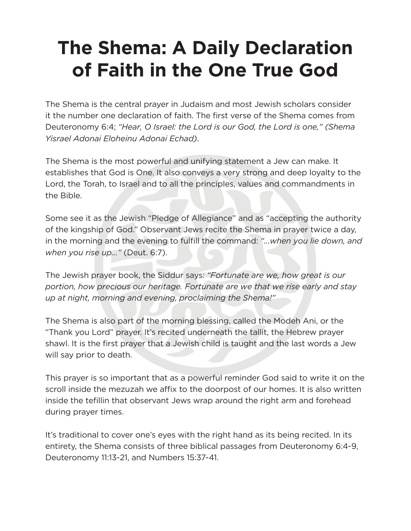## **The Shema: A Daily Declaration of Faith in the One True God**

The Shema is the central prayer in Judaism and most Jewish scholars consider it the number one declaration of faith. The first verse of the Shema comes from Deuteronomy 6:4; *"Hear, O Israel: the Lord is our God, the Lord is one," (Shema Yisrael Adonai Eloheinu Adonai Echad)*.

The Shema is the most powerful and unifying statement a Jew can make. It establishes that God is One. It also conveys a very strong and deep loyalty to the Lord, the Torah, to Israel and to all the principles, values and commandments in the Bible.

Some see it as the Jewish "Pledge of Allegiance" and as "accepting the authority of the kingship of God." Observant Jews recite the Shema in prayer twice a day, in the morning and the evening to fulfill the command: *"…when you lie down, and when you rise up..."* (Deut. 6:7).

The Jewish prayer book, the Siddur says: *"Fortunate are we, how great is our portion, how precious our heritage. Fortunate are we that we rise early and stay up at night, morning and evening, proclaiming the Shema!"*

The Shema is also part of the morning blessing, called the Modeh Ani, or the "Thank you Lord" prayer. It's recited underneath the tallit, the Hebrew prayer shawl. It is the first prayer that a Jewish child is taught and the last words a Jew will say prior to death.

This prayer is so important that as a powerful reminder God said to write it on the scroll inside the mezuzah we affix to the doorpost of our homes. It is also written inside the tefillin that observant Jews wrap around the right arm and forehead during prayer times.

It's traditional to cover one's eyes with the right hand as its being recited. In its entirety, the Shema consists of three biblical passages from Deuteronomy 6:4-9, Deuteronomy 11:13-21, and Numbers 15:37-41.